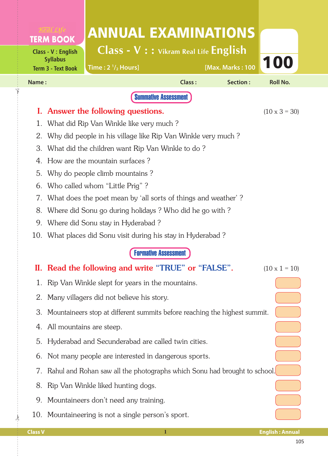|                             |                                                                                                 | <b>ANNUAL EXAMINATIONS</b>               |               |                  |                        |  |  |
|-----------------------------|-------------------------------------------------------------------------------------------------|------------------------------------------|---------------|------------------|------------------------|--|--|
|                             | <b>TERM BOOK</b>                                                                                | $Class - V : :$ Vikram Real Life English |               |                  |                        |  |  |
|                             | Class - V : English<br><b>Syllabus</b>                                                          |                                          |               |                  | 100                    |  |  |
|                             | <b>Term 3 - Text Book</b>                                                                       | Time: $2 \frac{1}{2}$ Hours]             |               | [Max. Marks: 100 |                        |  |  |
| Name:                       |                                                                                                 |                                          | <b>Class:</b> | Section:         | <b>Roll No.</b>        |  |  |
|                             |                                                                                                 | <b>Summative Assessment</b>              |               |                  |                        |  |  |
| I.                          | Answer the following questions.<br>$(10 \times 3 = 30)$                                         |                                          |               |                  |                        |  |  |
| 1.                          | What did Rip Van Winkle like very much?                                                         |                                          |               |                  |                        |  |  |
| 2.                          | Why did people in his village like Rip Van Winkle very much?                                    |                                          |               |                  |                        |  |  |
| 3.<br>4.                    | What did the children want Rip Van Winkle to do?<br>How are the mountain surfaces?              |                                          |               |                  |                        |  |  |
| 5.                          |                                                                                                 |                                          |               |                  |                        |  |  |
| 6.                          | Why do people climb mountains?                                                                  |                                          |               |                  |                        |  |  |
| 7.                          | Who called whom "Little Prig"?<br>What does the poet mean by 'all sorts of things and weather'? |                                          |               |                  |                        |  |  |
| 8.                          | Where did Sonu go during holidays? Who did he go with?                                          |                                          |               |                  |                        |  |  |
| 9.                          | Where did Sonu stay in Hyderabad?                                                               |                                          |               |                  |                        |  |  |
| 10.                         | What places did Sonu visit during his stay in Hyderabad?                                        |                                          |               |                  |                        |  |  |
| <b>Formative Assessment</b> |                                                                                                 |                                          |               |                  |                        |  |  |
|                             | II. Read the following and write "TRUE" or "FALSE".<br>$(10 \times 1 = 10)$                     |                                          |               |                  |                        |  |  |
| 1.                          | Rip Van Winkle slept for years in the mountains.                                                |                                          |               |                  |                        |  |  |
| 2.                          | Many villagers did not believe his story.                                                       |                                          |               |                  |                        |  |  |
| 3.                          | Mountaineers stop at different summits before reaching the highest summit.                      |                                          |               |                  |                        |  |  |
| 4.                          | All mountains are steep.                                                                        |                                          |               |                  |                        |  |  |
| 5.                          | Hyderabad and Secunderabad are called twin cities.                                              |                                          |               |                  |                        |  |  |
| 6.                          | Not many people are interested in dangerous sports.                                             |                                          |               |                  |                        |  |  |
| 7.                          | Rahul and Rohan saw all the photographs which Sonu had brought to school.                       |                                          |               |                  |                        |  |  |
| 8.                          | Rip Van Winkle liked hunting dogs.                                                              |                                          |               |                  |                        |  |  |
| 9.                          | Mountaineers don't need any training.                                                           |                                          |               |                  |                        |  |  |
| 10.                         | Mountaineering is not a single person's sport.                                                  |                                          |               |                  |                        |  |  |
| <b>Class V</b>              |                                                                                                 |                                          | $\bf{l}$      |                  | <b>English: Annual</b> |  |  |

 $\frac{1}{2}$ 

✁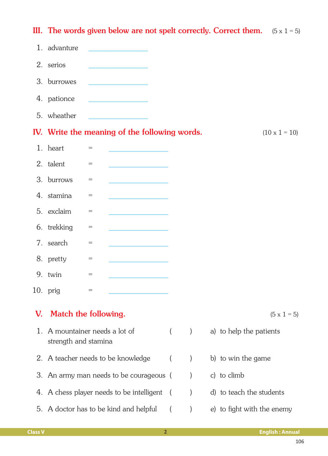|                      |                                                     |                                              |                                                   |          |               | III. The words given below are not spelt correctly. Correct them. $(5 \times 1 = 5)$ |
|----------------------|-----------------------------------------------------|----------------------------------------------|---------------------------------------------------|----------|---------------|--------------------------------------------------------------------------------------|
|                      | 1. advanture                                        |                                              |                                                   |          |               |                                                                                      |
|                      | 2. serios                                           |                                              |                                                   |          |               |                                                                                      |
|                      | 3. burrowes                                         |                                              |                                                   |          |               |                                                                                      |
|                      | 4. pationce                                         |                                              | <u> 1989 - Johann Barnett, fransk politiker (</u> |          |               |                                                                                      |
|                      | 5. wheather                                         |                                              | the company of the company of the                 |          |               |                                                                                      |
|                      |                                                     |                                              | IV. Write the meaning of the following words.     |          |               | $(10 \times 1 = 10)$                                                                 |
|                      | 1. heart                                            | $=$                                          |                                                   |          |               |                                                                                      |
|                      | 2. talent                                           | $=$                                          | <u> 1990 - Johann Barbara, martxa</u>             |          |               |                                                                                      |
|                      | 3. burrows                                          | $=$                                          |                                                   |          |               |                                                                                      |
|                      | 4. stamina                                          | $=$                                          |                                                   |          |               |                                                                                      |
|                      | 5. exclaim                                          | $=$                                          | <u> 1990 - Johann Barbara, martxa a</u>           |          |               |                                                                                      |
|                      | 6. trekking                                         | $=$                                          |                                                   |          |               |                                                                                      |
|                      | 7. search                                           | $=$                                          |                                                   |          |               |                                                                                      |
|                      | 8. pretty                                           | $=$                                          |                                                   |          |               |                                                                                      |
|                      | 9. twin                                             | $\displaystyle \qquad \qquad =\qquad \qquad$ |                                                   |          |               |                                                                                      |
|                      | $10.$ prig                                          | $=$                                          |                                                   |          |               |                                                                                      |
| V.                   | Match the following.                                |                                              |                                                   |          |               | $(5 \times 1 = 5)$                                                                   |
| $\mathbf{1}_{\cdot}$ | A mountainer needs a lot of<br>strength and stamina |                                              |                                                   | $\left($ | $\mathcal{E}$ | a) to help the patients                                                              |
|                      | 2. A teacher needs to be knowledge                  |                                              |                                                   |          | $\mathcal{E}$ | b) to win the game                                                                   |
|                      | 3. An army man needs to be courageous (             |                                              |                                                   |          |               | c) to climb                                                                          |
|                      | 4. A chess player needs to be intelligent           |                                              |                                                   |          |               | d) to teach the students                                                             |
|                      | 5. A doctor has to be kind and helpful              |                                              |                                                   |          |               | e) to fight with the enemy                                                           |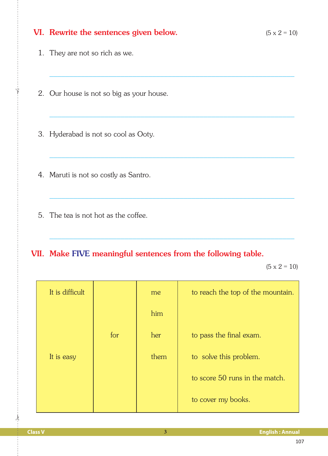|  | VI. Rewrite the sentences given below.<br>$(5 \times 2 = 10)$                        |     |     |                                   |  |  |  |
|--|--------------------------------------------------------------------------------------|-----|-----|-----------------------------------|--|--|--|
|  | 1. They are not so rich as we.                                                       |     |     |                                   |  |  |  |
|  | 2. Our house is not so big as your house.                                            |     |     |                                   |  |  |  |
|  | 3. Hyderabad is not so cool as Ooty.                                                 |     |     |                                   |  |  |  |
|  | 4. Maruti is not so costly as Santro.                                                |     |     |                                   |  |  |  |
|  | 5. The tea is not hot as the coffee.                                                 |     |     |                                   |  |  |  |
|  | VII. Make FIVE meaningful sentences from the following table.<br>$(5 \times 2 = 10)$ |     |     |                                   |  |  |  |
|  | It is difficult                                                                      |     | me  | to reach the top of the mountain. |  |  |  |
|  |                                                                                      |     | him |                                   |  |  |  |
|  |                                                                                      | for | her | to pass the final exam.           |  |  |  |

It is easy  $\begin{vmatrix} 1 & 1 & 1 \end{vmatrix}$  them to solve this problem.

 $\frac{1}{2}$ 

 $\dot{\gamma}$ 

to score 50 runs in the match.

to cover my books.